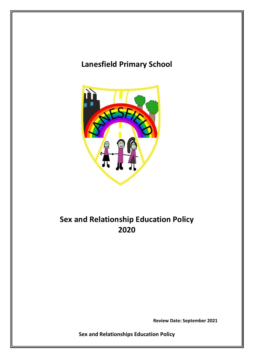# **Lanesfield Primary School**



# **Sex and Relationship Education Policy 2020**

**Review Date: September 2021**

**Sex and Relationships Education Policy**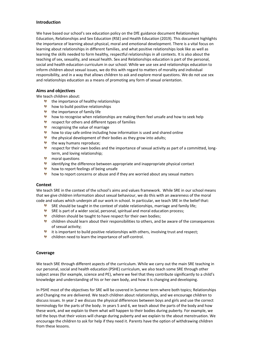#### **Introduction**

We have based our school's sex education policy on the DfE guidance document Relationships Education, Relationships and Sex Education (RSE) and Health Education (2019). This document highlights the importance of learning about physical, moral and emotional development. There is a vital focus on learning about relationships in different families, and what positive relationships look like as well as learning the skills needed to form healthy, respectful relationships in all contexts. It is also about the teaching of sex, sexuality, and sexual health. Sex and Relationships education is part of the personal, social and health education curriculum in our school. While we use sex and relationships education to inform children about sexual issues, we do this with regard to matters of morality and individual responsibility, and in a way that allows children to ask and explore moral questions. We do not use sex and relationships education as a means of promoting any form of sexual orientation.

#### **Aims and objectives**

We teach children about:

- the importance of healthy relationships
- **b** how to build positive relationships
- the importance of family life
- $$ how to recognise when relationships are making them feel unsafe and how to seek help
- **A** respect for others and different types of families
- *v* recognising the value of marriage
- **b** how to stay safe online including how information is used and shared online
- the physical development of their bodies as they grow into adults;
- the way humans reproduce;
- **SPE** respect for their own bodies and the importance of sexual activity as part of a committed, longterm, and loving relationship;
- **M** moral questions
- identifying the difference between appropriate and inappropriate physical contact
- **b** how to report feelings of being unsafe
- **b** how to report concerns or abuse and if they are worried about any sexual matters

#### **Context**

We teach SRE in the context of the school's aims and values framework. While SRE in our school means that we give children information about sexual behaviour, we do this with an awareness of the moral code and values which underpin all our work in school. In particular, we teach SRE in the belief that:

- SRE should be taught in the context of stable relationships, marriage and family life;
- SRE is part of a wider social, personal, spiritual and moral education process;
- **b** children should be taught to have respect for their own bodies;
- children should learn about their responsibilities to others, and be aware of the consequences of sexual activity;
- **i** it is important to build positive relationships with others, involving trust and respect;
- children need to learn the importance of self-control.

#### **Coverage**

We teach SRE through different aspects of the curriculum. While we carry out the main SRE teaching in our personal, social and health education (PSHE) curriculum, we also teach some SRE through other subject areas (for example, science and PE), where we feel that they contribute significantly to a child's knowledge and understanding of his or her own body, and how it is changing and developing.

In PSHE most of the objectives for SRE will be covered in Summer term where both topics; Relationships and Changing me are delivered. We teach children about relationships, and we encourage children to discuss issues. In year 2 we discuss the physical differences between boys and girls and use the correct terminology for the parts of the body. In years 5 and 6, we teach about the parts of the body and how these work, and we explain to them what will happen to their bodies during puberty. For example, we tell the boys that their voices will change during puberty and we explain to the about menstruation. We encourage the children to ask for help if they need it. Parents have the option of withdrawing children from these lessons.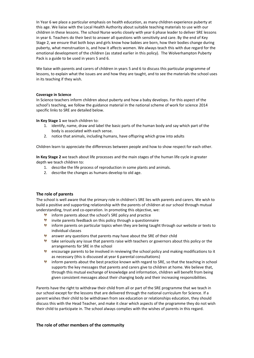In Year 6 we place a particular emphasis on health education, as many children experience puberty at this age. We liaise with the Local Health Authority about suitable teaching materials to use with our children in these lessons. The school Nurse works closely with year 6 phase leader to deliver SRE lessons in year 6. Teachers do their best to answer all questions with sensitivity and care. By the end of Key Stage 2, we ensure that both boys and girls know how babies are born, how their bodies change during puberty, what menstruation is, and how it affects women. We always teach this with due regard for the emotional development of the children (as stated earlier in this policy). The Wolverhampton Puberty Pack is a guide to be used in years 5 and 6.

We liaise with parents and carers of children in years 5 and 6 to discuss this particular programme of lessons, to explain what the issues are and how they are taught, and to see the materials the school uses in its teaching if they wish.

#### **Coverage in Science**

In Science teachers inform children about puberty and how a baby develops. For this aspect of the school's teaching, we follow the guidance material in the national scheme of work for science 2014 specific links to SRE are detailed below.

**In Key Stage 1** we teach children to:

- 1. identify, name, draw and label the basic parts of the human body and say which part of the body is associated with each sense.
- 2. notice that animals, including humans, have offspring which grow into adults

Children learn to appreciate the differences between people and how to show respect for each other.

**In Key Stage 2** we teach about life processes and the main stages of the human life cycle in greater depth we teach children to:

- 1. describe the life process of reproduction in some plants and animals.
- 2. describe the changes as humans develop to old age.

#### **The role of parents**

The school is well aware that the primary role in children's SRE lies with parents and carers. We wish to build a positive and supporting relationship with the parents of children at our school through mutual understanding, trust and co-operation. In promoting this objective, we:

- **inform parents about the school's SRE policy and practice**
- **W** invite parents feedback on this policy through a questionnaire
- inform parents on particular topics when they are being taught through our website or texts to individual classes
- **answer any questions that parents may have about the SRE of their child**
- take seriously any issue that parents raise with teachers or governors about this policy or the arrangements for SRE in the school
- encourage parents to be involved in reviewing the school policy and making modifications to it as necessary (this is discussed at year 6 parental consultations)
- inform parents about the best practice known with regard to SRE, so that the teaching in school supports the key messages that parents and carers give to children at home. We believe that, through this mutual exchange of knowledge and information, children will benefit from being given consistent messages about their changing body and their increasing responsibilities.

Parents have the right to withdraw their child from all or part of the SRE programme that we teach in our school except for the lessons that are delivered through the national curriculum for Science. If a parent wishes their child to be withdrawn from sex education or relationships education, they should discuss this with the Head Teacher, and make it clear which aspects of the programme they do not wish their child to participate in. The school always complies with the wishes of parents in this regard.

#### **The role of other members of the community**